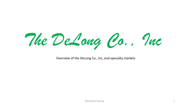*The DeLong Co., Inc.* 

Overview of the DeLong Co., Inc, and specialty markets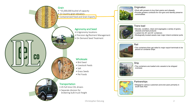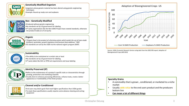

**USDA ORGANIC** 

#### **Genetically Modified Organism**

•organism whose genetic material has been altered using genetic engineering techniques •Example: Round up ready corn and soybeans

### **Non - Genetically Modified**

•Produced without genetic engineering

- •No standards set by US government for labeling
- •3<sup>rd</sup> party organizations like the Non-GMO Project have created standards, otherwise the product trades at a % of purity

### **Organic**

•*"Organic food is the product of a farming system which avoids the use of man-made fertilizers, pesticides; growth regulators and livestock feed additives."* NOP •US standards are set by the USDA via the national organic program (NOP)

### **Sustainability**

•The ability to be maintained at a certain rate or level •No standards set by US government for labeling •3<sup>rd</sup> party labels like ISCC or RTRS set requirements and issue labeling

# **ENT<sub>1</sub> SER**

GOLD

**ISCC** 

### **Identity Preserved (IP)**

•Refers to the maintenance of a product's specific traits or characteristics through growing, production and marketing channels

•Usually done to enhance processing efficiencies, enhance taste, create a better appearance or marketability of the finish product

### **Cleaned and/or Conditioned**

•End users may desire grain that meet higher specifications than USDA grades •To meet these specifications usually requires some advance cleaning and sorting equipment



Source: USDA, Economic Research Service using data from the 2002 ERS report, Adoption of Bioengineered Crops (AER-810)

### **Specialty Grains**

- A commodity that is grown , conditioned, or marketed to a niche market
- Usually **adds value** to the end users product and the producers bottom line
- **Can mean a lot of different things**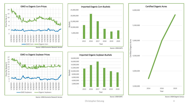



 - 5,000,000 10,000,000  $\frac{15}{4}$  15,000,000<br>  $\frac{15}{4}$ <br>  $\frac{10}{4}$  10,000,000 20,000,000 25,000,000 2015 2016 2017 2018 2019 2020 Year Imported Organic Corn Bushels







Source: USDA GATS

Source: USDA Organic Census